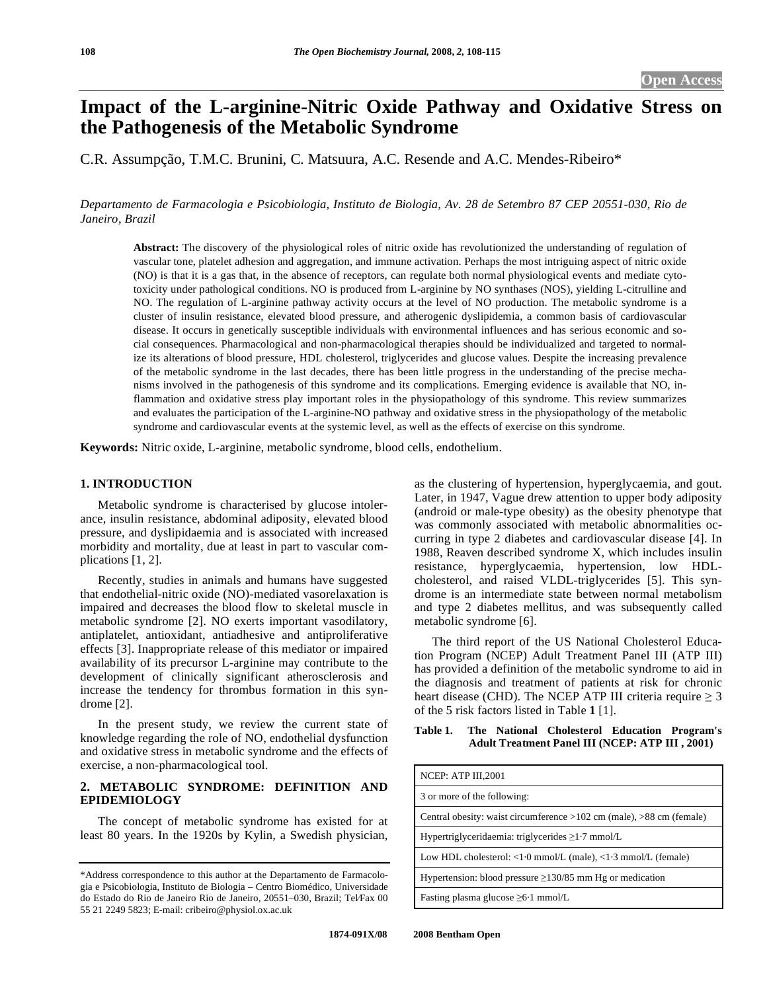# **Impact of the L-arginine-Nitric Oxide Pathway and Oxidative Stress on the Pathogenesis of the Metabolic Syndrome**

C.R. Assumpção, T.M.C. Brunini, C. Matsuura, A.C. Resende and A.C. Mendes-Ribeiro\*

*Departamento de Farmacologia e Psicobiologia, Instituto de Biologia, Av. 28 de Setembro 87 CEP 20551-030, Rio de Janeiro, Brazil* 

**Abstract:** The discovery of the physiological roles of nitric oxide has revolutionized the understanding of regulation of vascular tone, platelet adhesion and aggregation, and immune activation. Perhaps the most intriguing aspect of nitric oxide (NO) is that it is a gas that, in the absence of receptors, can regulate both normal physiological events and mediate cytotoxicity under pathological conditions. NO is produced from L-arginine by NO synthases (NOS), yielding L-citrulline and NO. The regulation of L-arginine pathway activity occurs at the level of NO production. The metabolic syndrome is a cluster of insulin resistance, elevated blood pressure, and atherogenic dyslipidemia, a common basis of cardiovascular disease. It occurs in genetically susceptible individuals with environmental influences and has serious economic and social consequences. Pharmacological and non-pharmacological therapies should be individualized and targeted to normalize its alterations of blood pressure, HDL cholesterol, triglycerides and glucose values. Despite the increasing prevalence of the metabolic syndrome in the last decades, there has been little progress in the understanding of the precise mechanisms involved in the pathogenesis of this syndrome and its complications. Emerging evidence is available that NO, inflammation and oxidative stress play important roles in the physiopathology of this syndrome. This review summarizes and evaluates the participation of the L-arginine-NO pathway and oxidative stress in the physiopathology of the metabolic syndrome and cardiovascular events at the systemic level, as well as the effects of exercise on this syndrome.

**Keywords:** Nitric oxide, L-arginine, metabolic syndrome, blood cells, endothelium.

# **1. INTRODUCTION**

 Metabolic syndrome is characterised by glucose intolerance, insulin resistance, abdominal adiposity, elevated blood pressure, and dyslipidaemia and is associated with increased morbidity and mortality, due at least in part to vascular complications [1, 2].

 Recently, studies in animals and humans have suggested that endothelial-nitric oxide (NO)-mediated vasorelaxation is impaired and decreases the blood flow to skeletal muscle in metabolic syndrome [2]. NO exerts important vasodilatory, antiplatelet, antioxidant, antiadhesive and antiproliferative effects [3]. Inappropriate release of this mediator or impaired availability of its precursor L-arginine may contribute to the development of clinically significant atherosclerosis and increase the tendency for thrombus formation in this syndrome [2].

 In the present study, we review the current state of knowledge regarding the role of NO, endothelial dysfunction and oxidative stress in metabolic syndrome and the effects of exercise, a non-pharmacological tool.

#### **2. METABOLIC SYNDROME: DEFINITION AND EPIDEMIOLOGY**

 The concept of metabolic syndrome has existed for at least 80 years. In the 1920s by Kylin, a Swedish physician,

as the clustering of hypertension, hyperglycaemia, and gout. Later, in 1947, Vague drew attention to upper body adiposity (android or male-type obesity) as the obesity phenotype that was commonly associated with metabolic abnormalities occurring in type 2 diabetes and cardiovascular disease [4]. In 1988, Reaven described syndrome X, which includes insulin resistance, hyperglycaemia, hypertension, low HDLcholesterol, and raised VLDL-triglycerides [5]. This syndrome is an intermediate state between normal metabolism and type 2 diabetes mellitus, and was subsequently called metabolic syndrome [6].

 The third report of the US National Cholesterol Education Program (NCEP) Adult Treatment Panel III (ATP III) has provided a definition of the metabolic syndrome to aid in the diagnosis and treatment of patients at risk for chronic heart disease (CHD). The NCEP ATP III criteria require  $\geq 3$ of the 5 risk factors listed in Table **1** [1].

# **Table 1. The National Cholesterol Education Program's Adult Treatment Panel III (NCEP: ATP III , 2001)**

<sup>\*</sup>Address correspondence to this author at the Departamento de Farmacologia e Psicobiologia, Instituto de Biologia – Centro Biomédico, Universidade do Estado do Rio de Janeiro Rio de Janeiro, 20551–030, Brazil; Tel⁄Fax 00 55 21 2249 5823; E-mail: cribeiro@physiol.ox.ac.uk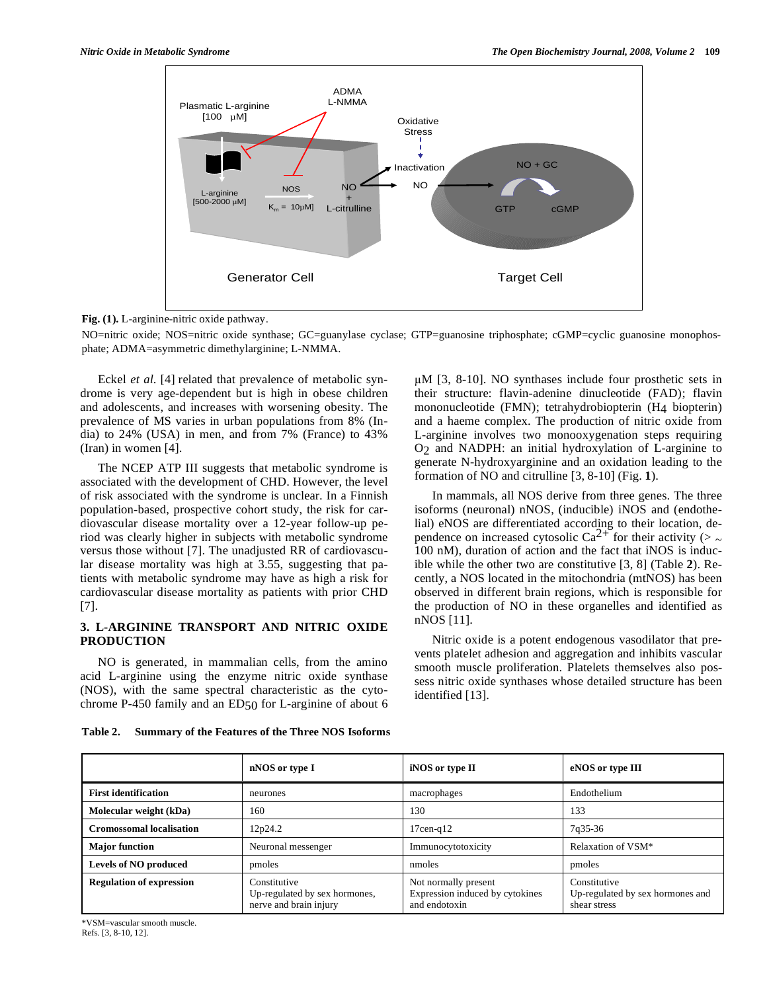

**Fig. (1).** L-arginine-nitric oxide pathway.

NO=nitric oxide; NOS=nitric oxide synthase; GC=guanylase cyclase; GTP=guanosine triphosphate; cGMP=cyclic guanosine monophosphate; ADMA=asymmetric dimethylarginine; L-NMMA.

 Eckel *et al*. [4] related that prevalence of metabolic syndrome is very age-dependent but is high in obese children and adolescents, and increases with worsening obesity. The prevalence of MS varies in urban populations from 8% (India) to 24% (USA) in men, and from 7% (France) to 43% (Iran) in women [4].

 The NCEP ATP III suggests that metabolic syndrome is associated with the development of CHD. However, the level of risk associated with the syndrome is unclear. In a Finnish population-based, prospective cohort study, the risk for cardiovascular disease mortality over a 12-year follow-up period was clearly higher in subjects with metabolic syndrome versus those without [7]. The unadjusted RR of cardiovascular disease mortality was high at 3.55, suggesting that patients with metabolic syndrome may have as high a risk for cardiovascular disease mortality as patients with prior CHD [7].

#### **3. L-ARGININE TRANSPORT AND NITRIC OXIDE PRODUCTION**

 NO is generated, in mammalian cells, from the amino acid L-arginine using the enzyme nitric oxide synthase (NOS), with the same spectral characteristic as the cytochrome P-450 family and an  $ED_{50}$  for L-arginine of about 6  $\mu$ M [3, 8-10]. NO synthases include four prosthetic sets in their structure: flavin-adenine dinucleotide (FAD); flavin mononucleotide (FMN); tetrahydrobiopterin (H4 biopterin) and a haeme complex. The production of nitric oxide from L-arginine involves two monooxygenation steps requiring O2 and NADPH: an initial hydroxylation of L-arginine to generate N-hydroxyarginine and an oxidation leading to the formation of NO and citrulline [3, 8-10] (Fig. **1**).

 In mammals, all NOS derive from three genes. The three isoforms (neuronal) nNOS, (inducible) iNOS and (endothelial) eNOS are differentiated according to their location, dependence on increased cytosolic Ca<sup>2+</sup> for their activity ( $>$  ~ 100 nM), duration of action and the fact that iNOS is inducible while the other two are constitutive [3, 8] (Table **2**). Recently, a NOS located in the mitochondria (mtNOS) has been observed in different brain regions, which is responsible for the production of NO in these organelles and identified as nNOS [11].

 Nitric oxide is a potent endogenous vasodilator that prevents platelet adhesion and aggregation and inhibits vascular smooth muscle proliferation. Platelets themselves also possess nitric oxide synthases whose detailed structure has been identified [13].

| Table 2. | Summary of the Features of the Three NOS Isoforms |  |  |  |
|----------|---------------------------------------------------|--|--|--|
|          |                                                   |  |  |  |

|                                 | nNOS or type I                                                          | iNOS or type II                                                          | eNOS or type III                                                 |
|---------------------------------|-------------------------------------------------------------------------|--------------------------------------------------------------------------|------------------------------------------------------------------|
| <b>First identification</b>     | neurones                                                                | macrophages                                                              | Endothelium                                                      |
| Molecular weight (kDa)          | 160                                                                     | 130                                                                      | 133                                                              |
| <b>Cromossomal localisation</b> | 12p24.2                                                                 | $17$ cen-q $12$                                                          | 7q35-36                                                          |
| <b>Major</b> function           | Neuronal messenger                                                      | Immunocytotoxicity                                                       | Relaxation of VSM*                                               |
| Levels of NO produced           | pmoles                                                                  | nmoles                                                                   | pmoles                                                           |
| <b>Regulation of expression</b> | Constitutive<br>Up-regulated by sex hormones,<br>nerve and brain injury | Not normally present<br>Expression induced by cytokines<br>and endotoxin | Constitutive<br>Up-regulated by sex hormones and<br>shear stress |

\*VSM=vascular smooth muscle. Refs. [3, 8-10, 12].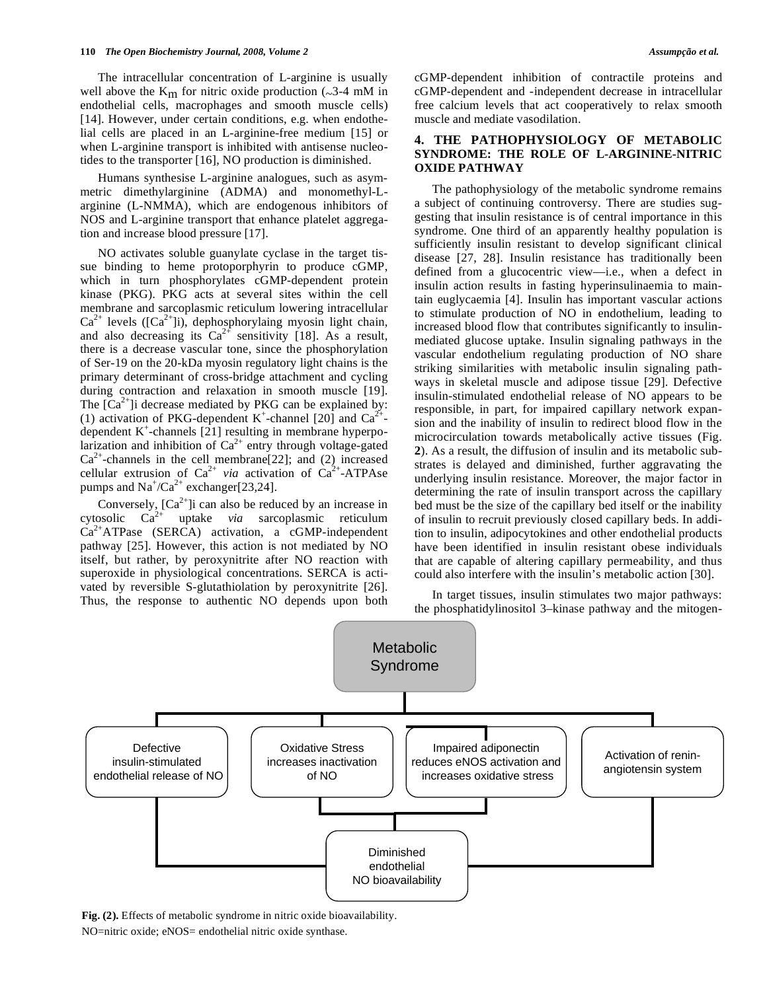The intracellular concentration of L-arginine is usually well above the  $K_m$  for nitric oxide production ( $\sim$ 3-4 mM in endothelial cells, macrophages and smooth muscle cells) [14]. However, under certain conditions, e.g. when endothelial cells are placed in an L-arginine-free medium [15] or when L-arginine transport is inhibited with antisense nucleotides to the transporter [16], NO production is diminished.

 Humans synthesise L-arginine analogues, such as asymmetric dimethylarginine (ADMA) and monomethyl-Larginine (L-NMMA), which are endogenous inhibitors of NOS and L-arginine transport that enhance platelet aggregation and increase blood pressure [17].

 NO activates soluble guanylate cyclase in the target tissue binding to heme protoporphyrin to produce cGMP, which in turn phosphorylates cGMP-dependent protein kinase (PKG). PKG acts at several sites within the cell membrane and sarcoplasmic reticulum lowering intracellular  $Ca^{2+}$  levels ([ $Ca^{2+}$ ]i), dephosphorylaing myosin light chain, and also decreasing its  $Ca^{2+}$  sensitivity [18]. As a result, there is a decrease vascular tone, since the phosphorylation of Ser-19 on the 20-kDa myosin regulatory light chains is the primary determinant of cross-bridge attachment and cycling during contraction and relaxation in smooth muscle [19]. The  $[Ca^{2+}]$ i decrease mediated by PKG can be explained by: (1) activation of PKG-dependent K<sup>+</sup>-channel [20] and Ca<sup>2+</sup>dependent  $K^+$ -channels [21] resulting in membrane hyperpolarization and inhibition of  $Ca^{2+}$  entry through voltage-gated  $Ca^{2+}$ -channels in the cell membrane[22]; and (2) increased cellular extrusion of  $Ca^{2+}$  *via* activation of  $Ca^{2+}-ATP$ Ase pumps and  $\text{Na}^+\text{/Ca}^{2+}$  exchanger[23,24].

Conversely,  $[Ca^{2+}]i$  can also be reduced by an increase in cytosolic Ca2+ uptake *via* sarcoplasmic reticulum  $Ca^{2+}ATPase$  (SERCA) activation, a cGMP-independent pathway [25]. However, this action is not mediated by NO itself, but rather, by peroxynitrite after NO reaction with superoxide in physiological concentrations. SERCA is activated by reversible S-glutathiolation by peroxynitrite [26]. Thus, the response to authentic NO depends upon both

cGMP-dependent inhibition of contractile proteins and cGMP-dependent and -independent decrease in intracellular free calcium levels that act cooperatively to relax smooth muscle and mediate vasodilation.

### **4. THE PATHOPHYSIOLOGY OF METABOLIC SYNDROME: THE ROLE OF L-ARGININE-NITRIC OXIDE PATHWAY**

 The pathophysiology of the metabolic syndrome remains a subject of continuing controversy. There are studies suggesting that insulin resistance is of central importance in this syndrome. One third of an apparently healthy population is sufficiently insulin resistant to develop significant clinical disease [27, 28]. Insulin resistance has traditionally been defined from a glucocentric view—i.e., when a defect in insulin action results in fasting hyperinsulinaemia to maintain euglycaemia [4]. Insulin has important vascular actions to stimulate production of NO in endothelium, leading to increased blood flow that contributes significantly to insulinmediated glucose uptake. Insulin signaling pathways in the vascular endothelium regulating production of NO share striking similarities with metabolic insulin signaling pathways in skeletal muscle and adipose tissue [29]. Defective insulin-stimulated endothelial release of NO appears to be responsible, in part, for impaired capillary network expansion and the inability of insulin to redirect blood flow in the microcirculation towards metabolically active tissues (Fig. **2**). As a result, the diffusion of insulin and its metabolic substrates is delayed and diminished, further aggravating the underlying insulin resistance. Moreover, the major factor in determining the rate of insulin transport across the capillary bed must be the size of the capillary bed itself or the inability of insulin to recruit previously closed capillary beds. In addition to insulin, adipocytokines and other endothelial products have been identified in insulin resistant obese individuals that are capable of altering capillary permeability, and thus could also interfere with the insulin's metabolic action [30].

 In target tissues, insulin stimulates two major pathways: the phosphatidylinositol 3–kinase pathway and the mitogen-



**Fig. (2).** Effects of metabolic syndrome in nitric oxide bioavailability.

NO=nitric oxide; eNOS= endothelial nitric oxide synthase.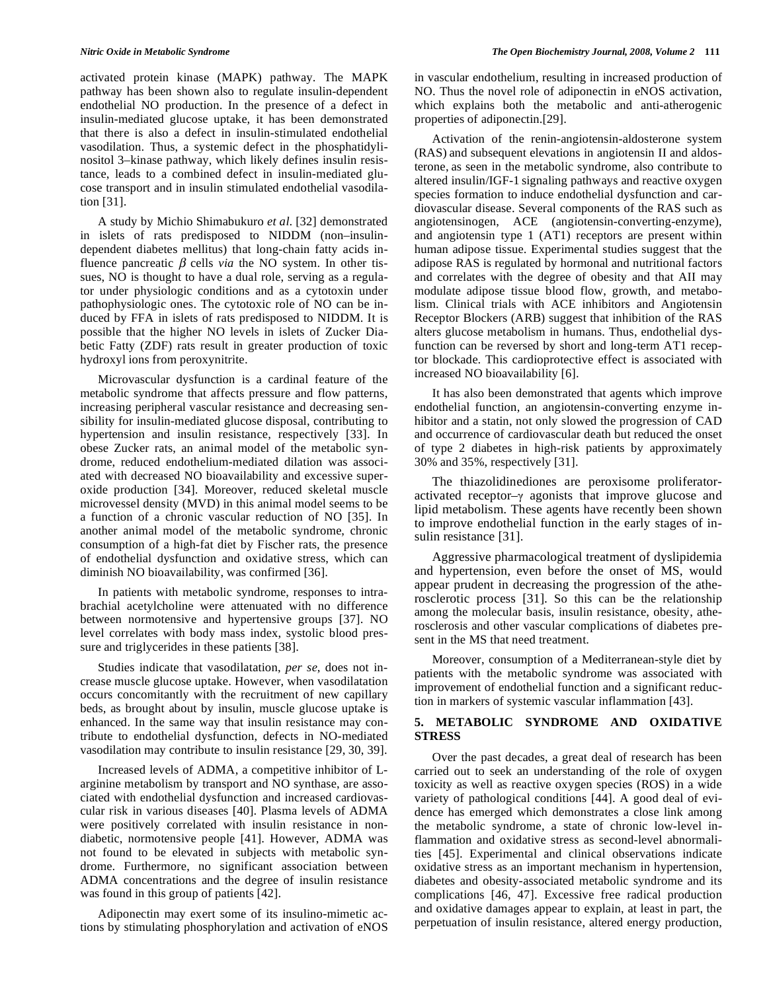activated protein kinase (MAPK) pathway. The MAPK pathway has been shown also to regulate insulin-dependent endothelial NO production. In the presence of a defect in insulin-mediated glucose uptake, it has been demonstrated that there is also a defect in insulin-stimulated endothelial vasodilation. Thus, a systemic defect in the phosphatidylinositol 3–kinase pathway, which likely defines insulin resistance, leads to a combined defect in insulin-mediated glucose transport and in insulin stimulated endothelial vasodilation [31].

 A study by Michio Shimabukuro *et al*. [32] demonstrated in islets of rats predisposed to NIDDM (non–insulindependent diabetes mellitus) that long-chain fatty acids influence pancreatic  $\beta$  cells *via* the NO system. In other tissues, NO is thought to have a dual role, serving as a regulator under physiologic conditions and as a cytotoxin under pathophysiologic ones. The cytotoxic role of NO can be induced by FFA in islets of rats predisposed to NIDDM. It is possible that the higher NO levels in islets of Zucker Diabetic Fatty (ZDF) rats result in greater production of toxic hydroxyl ions from peroxynitrite.

 Microvascular dysfunction is a cardinal feature of the metabolic syndrome that affects pressure and flow patterns, increasing peripheral vascular resistance and decreasing sensibility for insulin-mediated glucose disposal, contributing to hypertension and insulin resistance, respectively [33]. In obese Zucker rats, an animal model of the metabolic syndrome, reduced endothelium-mediated dilation was associated with decreased NO bioavailability and excessive superoxide production [34]. Moreover, reduced skeletal muscle microvessel density (MVD) in this animal model seems to be a function of a chronic vascular reduction of NO [35]. In another animal model of the metabolic syndrome, chronic consumption of a high-fat diet by Fischer rats, the presence of endothelial dysfunction and oxidative stress, which can diminish NO bioavailability, was confirmed [36].

 In patients with metabolic syndrome, responses to intrabrachial acetylcholine were attenuated with no difference between normotensive and hypertensive groups [37]. NO level correlates with body mass index, systolic blood pressure and triglycerides in these patients [38].

 Studies indicate that vasodilatation, *per se*, does not increase muscle glucose uptake. However, when vasodilatation occurs concomitantly with the recruitment of new capillary beds, as brought about by insulin, muscle glucose uptake is enhanced. In the same way that insulin resistance may contribute to endothelial dysfunction, defects in NO-mediated vasodilation may contribute to insulin resistance [29, 30, 39].

 Increased levels of ADMA, a competitive inhibitor of Larginine metabolism by transport and NO synthase, are associated with endothelial dysfunction and increased cardiovascular risk in various diseases [40]. Plasma levels of ADMA were positively correlated with insulin resistance in nondiabetic, normotensive people [41]. However, ADMA was not found to be elevated in subjects with metabolic syndrome. Furthermore, no significant association between ADMA concentrations and the degree of insulin resistance was found in this group of patients [42].

 Adiponectin may exert some of its insulino-mimetic actions by stimulating phosphorylation and activation of eNOS in vascular endothelium, resulting in increased production of NO. Thus the novel role of adiponectin in eNOS activation, which explains both the metabolic and anti-atherogenic properties of adiponectin.[29].

 Activation of the renin-angiotensin-aldosterone system (RAS) and subsequent elevations in angiotensin II and aldosterone, as seen in the metabolic syndrome, also contribute to altered insulin/IGF-1 signaling pathways and reactive oxygen species formation to induce endothelial dysfunction and cardiovascular disease. Several components of the RAS such as angiotensinogen, ACE (angiotensin-converting-enzyme), and angiotensin type 1 (AT1) receptors are present within human adipose tissue. Experimental studies suggest that the adipose RAS is regulated by hormonal and nutritional factors and correlates with the degree of obesity and that AII may modulate adipose tissue blood flow, growth, and metabolism. Clinical trials with ACE inhibitors and Angiotensin Receptor Blockers (ARB) suggest that inhibition of the RAS alters glucose metabolism in humans. Thus, endothelial dysfunction can be reversed by short and long-term AT1 receptor blockade. This cardioprotective effect is associated with increased NO bioavailability [6].

 It has also been demonstrated that agents which improve endothelial function, an angiotensin-converting enzyme inhibitor and a statin, not only slowed the progression of CAD and occurrence of cardiovascular death but reduced the onset of type 2 diabetes in high-risk patients by approximately 30% and 35%, respectively [31].

 The thiazolidinediones are peroxisome proliferatoractivated receptor- $\gamma$  agonists that improve glucose and lipid metabolism. These agents have recently been shown to improve endothelial function in the early stages of insulin resistance [31].

 Aggressive pharmacological treatment of dyslipidemia and hypertension, even before the onset of MS, would appear prudent in decreasing the progression of the atherosclerotic process [31]. So this can be the relationship among the molecular basis, insulin resistance, obesity, atherosclerosis and other vascular complications of diabetes present in the MS that need treatment.

 Moreover, consumption of a Mediterranean-style diet by patients with the metabolic syndrome was associated with improvement of endothelial function and a significant reduction in markers of systemic vascular inflammation [43].

### **5. METABOLIC SYNDROME AND OXIDATIVE STRESS**

 Over the past decades, a great deal of research has been carried out to seek an understanding of the role of oxygen toxicity as well as reactive oxygen species (ROS) in a wide variety of pathological conditions [44]. A good deal of evidence has emerged which demonstrates a close link among the metabolic syndrome, a state of chronic low-level inflammation and oxidative stress as second-level abnormalities [45]. Experimental and clinical observations indicate oxidative stress as an important mechanism in hypertension, diabetes and obesity-associated metabolic syndrome and its complications [46, 47]. Excessive free radical production and oxidative damages appear to explain, at least in part, the perpetuation of insulin resistance, altered energy production,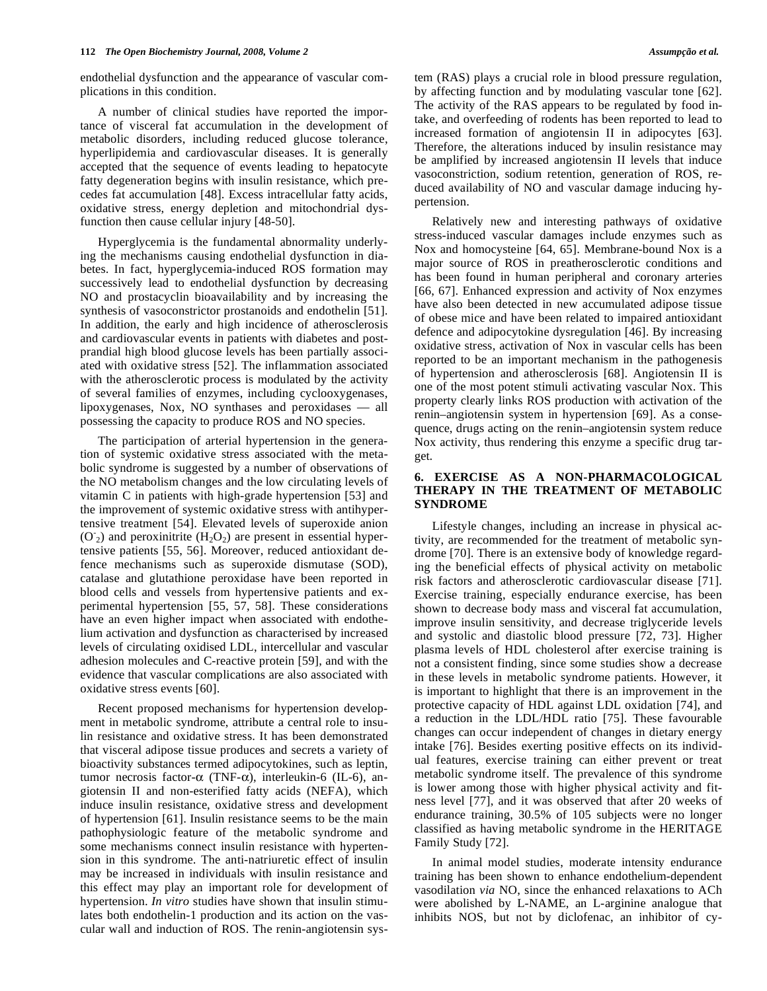endothelial dysfunction and the appearance of vascular complications in this condition.

 A number of clinical studies have reported the importance of visceral fat accumulation in the development of metabolic disorders, including reduced glucose tolerance, hyperlipidemia and cardiovascular diseases. It is generally accepted that the sequence of events leading to hepatocyte fatty degeneration begins with insulin resistance, which precedes fat accumulation [48]. Excess intracellular fatty acids, oxidative stress, energy depletion and mitochondrial dysfunction then cause cellular injury [48-50].

 Hyperglycemia is the fundamental abnormality underlying the mechanisms causing endothelial dysfunction in diabetes. In fact, hyperglycemia-induced ROS formation may successively lead to endothelial dysfunction by decreasing NO and prostacyclin bioavailability and by increasing the synthesis of vasoconstrictor prostanoids and endothelin [51]. In addition, the early and high incidence of atherosclerosis and cardiovascular events in patients with diabetes and postprandial high blood glucose levels has been partially associated with oxidative stress [52]. The inflammation associated with the atherosclerotic process is modulated by the activity of several families of enzymes, including cyclooxygenases, lipoxygenases, Nox, NO synthases and peroxidases — all possessing the capacity to produce ROS and NO species.

 The participation of arterial hypertension in the generation of systemic oxidative stress associated with the metabolic syndrome is suggested by a number of observations of the NO metabolism changes and the low circulating levels of vitamin C in patients with high-grade hypertension [53] and the improvement of systemic oxidative stress with antihypertensive treatment [54]. Elevated levels of superoxide anion  $(O<sub>2</sub>)$  and peroxinitrite (H<sub>2</sub>O<sub>2</sub>) are present in essential hypertensive patients [55, 56]. Moreover, reduced antioxidant defence mechanisms such as superoxide dismutase (SOD), catalase and glutathione peroxidase have been reported in blood cells and vessels from hypertensive patients and experimental hypertension [55, 57, 58]. These considerations have an even higher impact when associated with endothelium activation and dysfunction as characterised by increased levels of circulating oxidised LDL, intercellular and vascular adhesion molecules and C-reactive protein [59], and with the evidence that vascular complications are also associated with oxidative stress events [60].

 Recent proposed mechanisms for hypertension development in metabolic syndrome, attribute a central role to insulin resistance and oxidative stress. It has been demonstrated that visceral adipose tissue produces and secrets a variety of bioactivity substances termed adipocytokines, such as leptin, tumor necrosis factor- $\alpha$  (TNF- $\alpha$ ), interleukin-6 (IL-6), angiotensin II and non-esterified fatty acids (NEFA), which induce insulin resistance, oxidative stress and development of hypertension [61]. Insulin resistance seems to be the main pathophysiologic feature of the metabolic syndrome and some mechanisms connect insulin resistance with hypertension in this syndrome. The anti-natriuretic effect of insulin may be increased in individuals with insulin resistance and this effect may play an important role for development of hypertension. *In vitro* studies have shown that insulin stimulates both endothelin-1 production and its action on the vascular wall and induction of ROS. The renin-angiotensin system (RAS) plays a crucial role in blood pressure regulation, by affecting function and by modulating vascular tone [62]. The activity of the RAS appears to be regulated by food intake, and overfeeding of rodents has been reported to lead to increased formation of angiotensin II in adipocytes [63]. Therefore, the alterations induced by insulin resistance may be amplified by increased angiotensin II levels that induce vasoconstriction, sodium retention, generation of ROS, reduced availability of NO and vascular damage inducing hypertension.

 Relatively new and interesting pathways of oxidative stress-induced vascular damages include enzymes such as Nox and homocysteine [64, 65]. Membrane-bound Nox is a major source of ROS in preatherosclerotic conditions and has been found in human peripheral and coronary arteries [66, 67]. Enhanced expression and activity of Nox enzymes have also been detected in new accumulated adipose tissue of obese mice and have been related to impaired antioxidant defence and adipocytokine dysregulation [46]. By increasing oxidative stress, activation of Nox in vascular cells has been reported to be an important mechanism in the pathogenesis of hypertension and atherosclerosis [68]. Angiotensin II is one of the most potent stimuli activating vascular Nox. This property clearly links ROS production with activation of the renin–angiotensin system in hypertension [69]. As a consequence, drugs acting on the renin–angiotensin system reduce Nox activity, thus rendering this enzyme a specific drug target.

# **6. EXERCISE AS A NON-PHARMACOLOGICAL THERAPY IN THE TREATMENT OF METABOLIC SYNDROME**

 Lifestyle changes, including an increase in physical activity, are recommended for the treatment of metabolic syndrome [70]. There is an extensive body of knowledge regarding the beneficial effects of physical activity on metabolic risk factors and atherosclerotic cardiovascular disease [71]. Exercise training, especially endurance exercise, has been shown to decrease body mass and visceral fat accumulation, improve insulin sensitivity, and decrease triglyceride levels and systolic and diastolic blood pressure [72, 73]. Higher plasma levels of HDL cholesterol after exercise training is not a consistent finding, since some studies show a decrease in these levels in metabolic syndrome patients. However, it is important to highlight that there is an improvement in the protective capacity of HDL against LDL oxidation [74], and a reduction in the LDL/HDL ratio [75]. These favourable changes can occur independent of changes in dietary energy intake [76]. Besides exerting positive effects on its individual features, exercise training can either prevent or treat metabolic syndrome itself. The prevalence of this syndrome is lower among those with higher physical activity and fitness level [77], and it was observed that after 20 weeks of endurance training, 30.5% of 105 subjects were no longer classified as having metabolic syndrome in the HERITAGE Family Study [72].

 In animal model studies, moderate intensity endurance training has been shown to enhance endothelium-dependent vasodilation *via* NO, since the enhanced relaxations to ACh were abolished by L-NAME, an L-arginine analogue that inhibits NOS, but not by diclofenac, an inhibitor of cy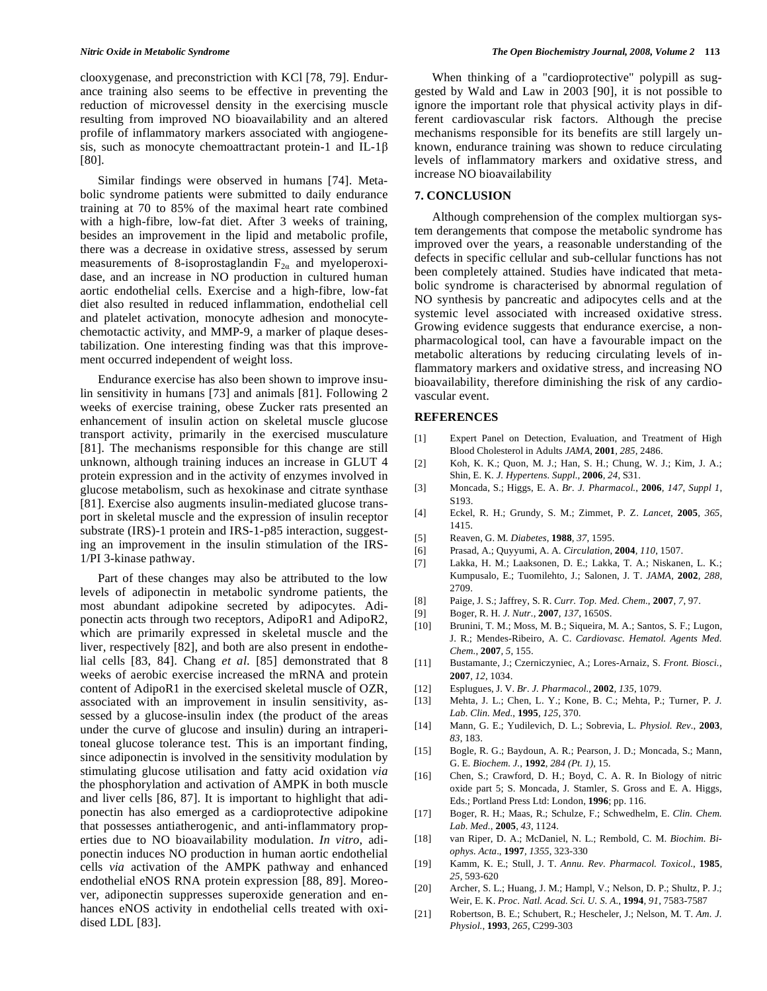clooxygenase, and preconstriction with KCl [78, 79]. Endurance training also seems to be effective in preventing the reduction of microvessel density in the exercising muscle resulting from improved NO bioavailability and an altered profile of inflammatory markers associated with angiogenesis, such as monocyte chemoattractant protein-1 and IL-1 $\beta$ [80].

 Similar findings were observed in humans [74]. Metabolic syndrome patients were submitted to daily endurance training at 70 to 85% of the maximal heart rate combined with a high-fibre, low-fat diet. After 3 weeks of training, besides an improvement in the lipid and metabolic profile, there was a decrease in oxidative stress, assessed by serum measurements of 8-isoprostaglandin  $F_{2\alpha}$  and myeloperoxidase, and an increase in NO production in cultured human aortic endothelial cells. Exercise and a high-fibre, low-fat diet also resulted in reduced inflammation, endothelial cell and platelet activation, monocyte adhesion and monocytechemotactic activity, and MMP-9, a marker of plaque desestabilization. One interesting finding was that this improvement occurred independent of weight loss.

 Endurance exercise has also been shown to improve insulin sensitivity in humans [73] and animals [81]. Following 2 weeks of exercise training, obese Zucker rats presented an enhancement of insulin action on skeletal muscle glucose transport activity, primarily in the exercised musculature [81]. The mechanisms responsible for this change are still unknown, although training induces an increase in GLUT 4 protein expression and in the activity of enzymes involved in glucose metabolism, such as hexokinase and citrate synthase [81]. Exercise also augments insulin-mediated glucose transport in skeletal muscle and the expression of insulin receptor substrate (IRS)-1 protein and IRS-1-p85 interaction, suggesting an improvement in the insulin stimulation of the IRS-1/PI 3-kinase pathway.

 Part of these changes may also be attributed to the low levels of adiponectin in metabolic syndrome patients, the most abundant adipokine secreted by adipocytes. Adiponectin acts through two receptors, AdipoR1 and AdipoR2, which are primarily expressed in skeletal muscle and the liver, respectively [82], and both are also present in endothelial cells [83, 84]. Chang *et al*. [85] demonstrated that 8 weeks of aerobic exercise increased the mRNA and protein content of AdipoR1 in the exercised skeletal muscle of OZR, associated with an improvement in insulin sensitivity, assessed by a glucose-insulin index (the product of the areas under the curve of glucose and insulin) during an intraperitoneal glucose tolerance test. This is an important finding, since adiponectin is involved in the sensitivity modulation by stimulating glucose utilisation and fatty acid oxidation *via*  the phosphorylation and activation of AMPK in both muscle and liver cells [86, 87]. It is important to highlight that adiponectin has also emerged as a cardioprotective adipokine that possesses antiatherogenic, and anti-inflammatory properties due to NO bioavailability modulation. *In vitro*, adiponectin induces NO production in human aortic endothelial cells *via* activation of the AMPK pathway and enhanced endothelial eNOS RNA protein expression [88, 89]. Moreover, adiponectin suppresses superoxide generation and enhances eNOS activity in endothelial cells treated with oxidised LDL [83].

 When thinking of a "cardioprotective" polypill as suggested by Wald and Law in 2003 [90], it is not possible to ignore the important role that physical activity plays in different cardiovascular risk factors. Although the precise mechanisms responsible for its benefits are still largely unknown, endurance training was shown to reduce circulating levels of inflammatory markers and oxidative stress, and increase NO bioavailability

#### **7. CONCLUSION**

 Although comprehension of the complex multiorgan system derangements that compose the metabolic syndrome has improved over the years, a reasonable understanding of the defects in specific cellular and sub-cellular functions has not been completely attained. Studies have indicated that metabolic syndrome is characterised by abnormal regulation of NO synthesis by pancreatic and adipocytes cells and at the systemic level associated with increased oxidative stress. Growing evidence suggests that endurance exercise, a nonpharmacological tool, can have a favourable impact on the metabolic alterations by reducing circulating levels of inflammatory markers and oxidative stress, and increasing NO bioavailability, therefore diminishing the risk of any cardiovascular event.

#### **REFERENCES**

- [1] Expert Panel on Detection, Evaluation, and Treatment of High Blood Cholesterol in Adults *JAMA*, **2001***, 285*, 2486.
- [2] Koh, K. K.; Quon, M. J.; Han, S. H.; Chung, W. J.; Kim, J. A.; Shin, E. K. *J. Hypertens. Suppl.,* **2006***, 24*, S31.
- [3] Moncada, S.; Higgs, E. A. *Br. J. Pharmacol.*, **2006***, 147*, *Suppl 1*, S193.
- [4] Eckel, R. H.; Grundy, S. M.; Zimmet, P. Z. *Lancet*, **2005***, 365*, 1415.
- [5] Reaven, G. M. *Diabetes*, **1988***, 37*, 1595.
- [6] Prasad, A.; Quyyumi, A. A. *Circulation*, **2004***, 110*, 1507.
- [7] Lakka, H. M.; Laaksonen, D. E.; Lakka, T. A.; Niskanen, L. K.; Kumpusalo, E.; Tuomilehto, J.; Salonen, J. T. *JAMA*, **2002***, 288*, 2709.
- [8] Paige, J. S.; Jaffrey, S. R. *Curr. Top. Med. Chem.*, **2007***, 7*, 97.
- [9] Boger, R. H. *J. Nutr.*, **2007***, 137*, 1650S.
- [10] Brunini, T. M.; Moss, M. B.; Siqueira, M. A.; Santos, S. F.; Lugon, J. R.; Mendes-Ribeiro, A. C. *Cardiovasc. Hematol. Agents Med. Chem.*, **2007***, 5*, 155.
- [11] Bustamante, J.; Czerniczyniec, A.; Lores-Arnaiz, S. *Front. Biosci.*, **2007***, 12*, 1034.
- [12] Esplugues, J. V. *Br. J. Pharmacol.*, **2002***, 135*, 1079.
- [13] Mehta, J. L.; Chen, L. Y.; Kone, B. C.; Mehta, P.; Turner, P. *J. Lab. Clin. Med.*, **1995***, 125*, 370.
- [14] Mann, G. E.; Yudilevich, D. L.; Sobrevia, L. *Physiol. Rev.*, **2003***, 83*, 183.
- [15] Bogle, R. G.; Baydoun, A. R.; Pearson, J. D.; Moncada, S.; Mann, G. E. *Biochem. J.*, **1992***, 284 (Pt. 1)*, 15.
- [16] Chen, S.; Crawford, D. H.; Boyd, C. A. R. In Biology of nitric oxide part 5; S. Moncada, J. Stamler, S. Gross and E. A. Higgs, Eds.; Portland Press Ltd: London, **1996**; pp. 116.
- [17] Boger, R. H.; Maas, R.; Schulze, F.; Schwedhelm, E. *Clin. Chem. Lab. Med.*, **2005***, 43*, 1124.
- [18] van Riper, D. A.; McDaniel, N. L.; Rembold, C. M. *Biochim. Biophys. Acta*., **1997***, 1355*, 323-330
- [19] Kamm, K. E.; Stull, J. T. *Annu. Rev. Pharmacol. Toxicol.*, **1985***, 25*, 593-620
- [20] Archer, S. L.; Huang, J. M.; Hampl, V.; Nelson, D. P.; Shultz, P. J.; Weir, E. K. *Proc. Natl. Acad. Sci. U. S. A.*, **1994***, 91*, 7583-7587
- [21] Robertson, B. E.; Schubert, R.; Hescheler, J.; Nelson, M. T. *Am. J. Physiol.*, **1993***, 265*, C299-303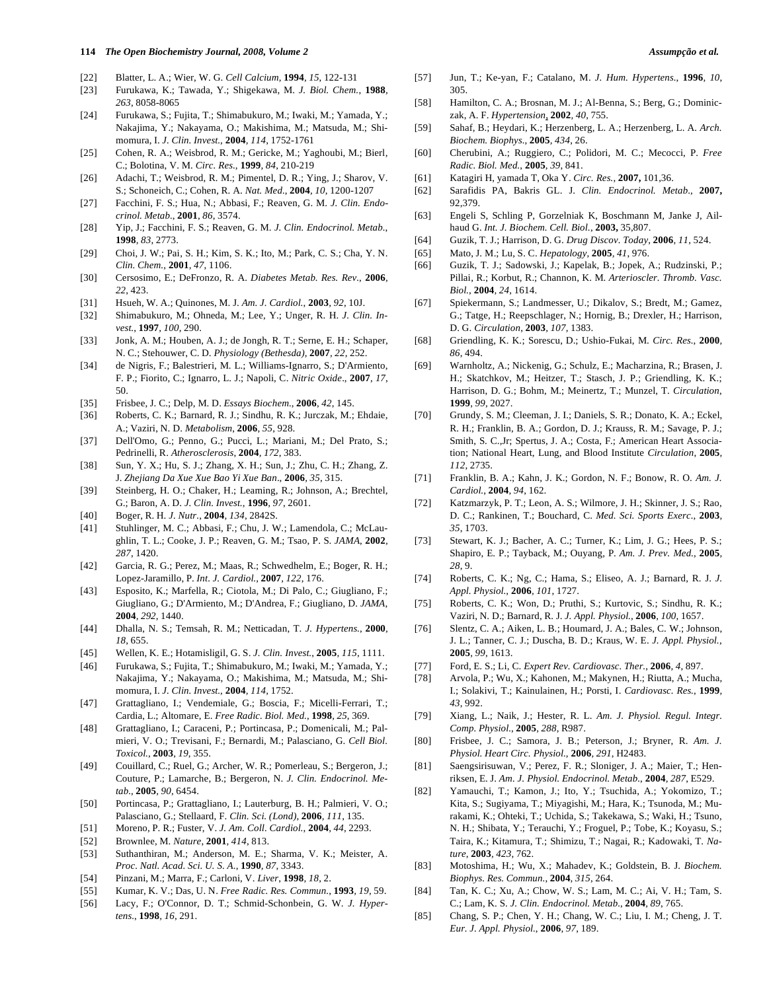#### **114** *The Open Biochemistry Journal, 2008, Volume 2 Assumpção et al.*

- [22] Blatter, L. A.; Wier, W. G. *Cell Calcium*, **1994***, 15*, 122-131
- [23] Furukawa, K.; Tawada, Y.; Shigekawa, M. *J. Biol. Chem.*, **1988***, 263*, 8058-8065
- [24] Furukawa, S.; Fujita, T.; Shimabukuro, M.; Iwaki, M.; Yamada, Y.; Nakajima, Y.; Nakayama, O.; Makishima, M.; Matsuda, M.; Shimomura, I. *J. Clin. Invest.*, **2004***, 114*, 1752-1761
- [25] Cohen, R. A.; Weisbrod, R. M.; Gericke, M.; Yaghoubi, M.; Bierl, C.; Bolotina, V. M. *Circ. Res.*, **1999***, 84*, 210-219
- [26] Adachi, T.; Weisbrod, R. M.; Pimentel, D. R.; Ying, J.; Sharov, V. S.; Schoneich, C.; Cohen, R. A. *Nat. Med.*, **2004***, 10*, 1200-1207
- [27] Facchini, F. S.; Hua, N.; Abbasi, F.; Reaven, G. M. *J. Clin. Endocrinol. Metab.*, **2001***, 86*, 3574.
- [28] Yip, J.; Facchini, F. S.; Reaven, G. M. *J. Clin. Endocrinol. Metab.*, **1998***, 83*, 2773.
- [29] Choi, J. W.; Pai, S. H.; Kim, S. K.; Ito, M.; Park, C. S.; Cha, Y. N. *Clin. Chem.*, **2001***, 47*, 1106.
- [30] Cersosimo, E.; DeFronzo, R. A. *Diabetes Metab. Res. Rev.*, **2006***, 22*, 423.
- [31] Hsueh, W. A.; Quinones, M. J. *Am. J. Cardiol.*, **2003***, 92*, 10J.
- [32] Shimabukuro, M.; Ohneda, M.; Lee, Y.; Unger, R. H. *J. Clin. Invest.*, **1997***, 100*, 290.
- [33] Jonk, A. M.; Houben, A. J.; de Jongh, R. T.; Serne, E. H.; Schaper, N. C.; Stehouwer, C. D. *Physiology (Bethesda)*, **2007***, 22*, 252.
- [34] de Nigris, F.; Balestrieri, M. L.; Williams-Ignarro, S.; D'Armiento, F. P.; Fiorito, C.; Ignarro, L. J.; Napoli, C. *Nitric Oxide*., **2007***, 17*, 50.
- [35] Frisbee, J. C.; Delp, M. D. *Essays Biochem.*, **2006***, 42*, 145.
- [36] Roberts, C. K.; Barnard, R. J.; Sindhu, R. K.; Jurczak, M.; Ehdaie, A.; Vaziri, N. D. *Metabolism*, **2006***, 55*, 928.
- [37] Dell'Omo, G.; Penno, G.; Pucci, L.; Mariani, M.; Del Prato, S.; Pedrinelli, R. *Atherosclerosis*, **2004***, 172*, 383.
- [38] Sun, Y. X.; Hu, S. J.; Zhang, X. H.; Sun, J.; Zhu, C. H.; Zhang, Z. J. *Zhejiang Da Xue Xue Bao Yi Xue Ban*., **2006***, 35*, 315.
- [39] Steinberg, H. O.; Chaker, H.; Leaming, R.; Johnson, A.; Brechtel, G.; Baron, A. D. *J. Clin. Invest.*, **1996***, 97*, 2601.
- [40] Boger, R. H. *J. Nutr.*, **2004***, 134*, 2842S.
- [41] Stuhlinger, M. C.; Abbasi, F.; Chu, J. W.; Lamendola, C.; McLaughlin, T. L.; Cooke, J. P.; Reaven, G. M.; Tsao, P. S. *JAMA*, **2002***, 287*, 1420.
- [42] Garcia, R. G.; Perez, M.; Maas, R.; Schwedhelm, E.; Boger, R. H.; Lopez-Jaramillo, P. *Int. J. Cardiol.*, **2007***, 122*, 176.
- [43] Esposito, K.; Marfella, R.; Ciotola, M.; Di Palo, C.; Giugliano, F.; Giugliano, G.; D'Armiento, M.; D'Andrea, F.; Giugliano, D. *JAMA*, **2004***, 292*, 1440.
- [44] Dhalla, N. S.; Temsah, R. M.; Netticadan, T. *J. Hypertens.*, **2000***, 18*, 655.
- [45] Wellen, K. E.; Hotamisligil, G. S. *J. Clin. Invest.*, **2005***, 115*, 1111.
- [46] Furukawa, S.; Fujita, T.; Shimabukuro, M.; Iwaki, M.; Yamada, Y.; Nakajima, Y.; Nakayama, O.; Makishima, M.; Matsuda, M.; Shimomura, I. *J. Clin. Invest.*, **2004***, 114*, 1752.
- [47] Grattagliano, I.; Vendemiale, G.; Boscia, F.; Micelli-Ferrari, T.; Cardia, L.; Altomare, E. *Free Radic. Biol. Med.*, **1998***, 25*, 369.
- [48] Grattagliano, I.; Caraceni, P.; Portincasa, P.; Domenicali, M.; Palmieri, V. O.; Trevisani, F.; Bernardi, M.; Palasciano, G. *Cell Biol. Toxicol.*, **2003***, 19*, 355.
- [49] Couillard, C.; Ruel, G.; Archer, W. R.; Pomerleau, S.; Bergeron, J.; Couture, P.; Lamarche, B.; Bergeron, N. *J. Clin. Endocrinol. Metab.*, **2005***, 90*, 6454.
- [50] Portincasa, P.; Grattagliano, I.; Lauterburg, B. H.; Palmieri, V. O.; Palasciano, G.; Stellaard, F. *Clin. Sci. (Lond)*, **2006***, 111*, 135.
- [51] Moreno, P. R.; Fuster, V. *J. Am. Coll. Cardiol.*, **2004***, 44*, 2293.
- [52] Brownlee, M. *Nature*, **2001***, 414*, 813.
- [53] Suthanthiran, M.; Anderson, M. E.; Sharma, V. K.; Meister, A. *Proc. Natl. Acad. Sci. U. S. A.*, **1990***, 87*, 3343.
- [54] Pinzani, M.; Marra, F.; Carloni, V. *Liver*, **1998***, 18*, 2.
- [55] Kumar, K. V.; Das, U. N. *Free Radic. Res. Commun.*, **1993***, 19*, 59.
- [56] Lacy, F.; O'Connor, D. T.; Schmid-Schonbein, G. W. *J. Hypertens.*, **1998***, 16*, 291.
- [57] Jun, T.; Ke-yan, F.; Catalano, M. *J. Hum. Hypertens.*, **1996***, 10*, 305.
- [58] Hamilton, C. A.; Brosnan, M. J.; Al-Benna, S.; Berg, G.; Dominiczak, A. F. *Hypertension*, **2002***, 40*, 755.
- [59] Sahaf, B.; Heydari, K.; Herzenberg, L. A.; Herzenberg, L. A. *Arch. Biochem. Biophys.*, **2005***, 434*, 26.
- [60] Cherubini, A.; Ruggiero, C.; Polidori, M. C.; Mecocci, P. *Free Radic. Biol. Med.*, **2005***, 39*, 841.
- [61] Katagiri H, yamada T, Oka Y. *Circ. Res.*, **2007,** 101,36.
- [62] Sarafidis PA, Bakris GL. J. *Clin. Endocrinol. Metab*., **2007,** 92,379.
- [63] Engeli S, Schling P, Gorzelniak K, Boschmann M, Janke J, Ailhaud G. *Int. J. Biochem. Cell. Biol.*, **2003,** 35,807.
- [64] Guzik, T. J.; Harrison, D. G. *Drug Discov. Today*, **2006***, 11*, 524.
- [65] Mato, J. M.; Lu, S. C. *Hepatology*, **2005***, 41*, 976.
- [66] Guzik, T. J.; Sadowski, J.; Kapelak, B.; Jopek, A.; Rudzinski, P.; Pillai, R.; Korbut, R.; Channon, K. M. *Arterioscler. Thromb. Vasc. Biol.*, **2004***, 24*, 1614.
- [67] Spiekermann, S.; Landmesser, U.; Dikalov, S.; Bredt, M.; Gamez, G.; Tatge, H.; Reepschlager, N.; Hornig, B.; Drexler, H.; Harrison, D. G. *Circulation*, **2003***, 107*, 1383.
- [68] Griendling, K. K.; Sorescu, D.; Ushio-Fukai, M. *Circ. Res.*, **2000***, 86*, 494.
- [69] Warnholtz, A.; Nickenig, G.; Schulz, E.; Macharzina, R.; Brasen, J. H.; Skatchkov, M.; Heitzer, T.; Stasch, J. P.; Griendling, K. K.; Harrison, D. G.; Bohm, M.; Meinertz, T.; Munzel, T. *Circulation*, **1999***, 99*, 2027.
- [70] Grundy, S. M.; Cleeman, J. I.; Daniels, S. R.; Donato, K. A.; Eckel, R. H.; Franklin, B. A.; Gordon, D. J.; Krauss, R. M.; Savage, P. J.; Smith, S. C.,Jr; Spertus, J. A.; Costa, F.; American Heart Association; National Heart, Lung, and Blood Institute *Circulation*, **2005***, 112*, 2735.
- [71] Franklin, B. A.; Kahn, J. K.; Gordon, N. F.; Bonow, R. O. *Am. J. Cardiol.*, **2004***, 94*, 162.
- [72] Katzmarzyk, P. T.; Leon, A. S.; Wilmore, J. H.; Skinner, J. S.; Rao, D. C.; Rankinen, T.; Bouchard, C. *Med. Sci. Sports Exerc.*, **2003***, 35*, 1703.
- [73] Stewart, K. J.; Bacher, A. C.; Turner, K.; Lim, J. G.; Hees, P. S.; Shapiro, E. P.; Tayback, M.; Ouyang, P. *Am. J. Prev. Med.*, **2005***, 28*, 9.
- [74] Roberts, C. K.; Ng, C.; Hama, S.; Eliseo, A. J.; Barnard, R. J. *J. Appl. Physiol.*, **2006***, 101*, 1727.
- [75] Roberts, C. K.; Won, D.; Pruthi, S.; Kurtovic, S.; Sindhu, R. K.; Vaziri, N. D.; Barnard, R. J. *J. Appl. Physiol.*, **2006***, 100*, 1657.
- [76] Slentz, C. A.; Aiken, L. B.; Houmard, J. A.; Bales, C. W.; Johnson, J. L.; Tanner, C. J.; Duscha, B. D.; Kraus, W. E. *J. Appl. Physiol.*, **2005***, 99*, 1613.
- [77] Ford, E. S.; Li, C. *Expert Rev. Cardiovasc. Ther.*, **2006***, 4*, 897.
- [78] Arvola, P.; Wu, X.; Kahonen, M.; Makynen, H.; Riutta, A.; Mucha, I.; Solakivi, T.; Kainulainen, H.; Porsti, I. *Cardiovasc. Res.*, **1999***, 43*, 992.
- [79] Xiang, L.; Naik, J.; Hester, R. L. *Am. J. Physiol. Regul. Integr. Comp. Physiol.*, **2005***, 288*, R987.
- [80] Frisbee, J. C.; Samora, J. B.; Peterson, J.; Bryner, R. *Am. J. Physiol. Heart Circ. Physiol.*, **2006***, 291*, H2483.
- [81] Saengsirisuwan, V.; Perez, F. R.; Sloniger, J. A.; Maier, T.; Henriksen, E. J. *Am. J. Physiol. Endocrinol. Metab.*, **2004***, 287*, E529.
- [82] Yamauchi, T.; Kamon, J.; Ito, Y.; Tsuchida, A.; Yokomizo, T.; Kita, S.; Sugiyama, T.; Miyagishi, M.; Hara, K.; Tsunoda, M.; Murakami, K.; Ohteki, T.; Uchida, S.; Takekawa, S.; Waki, H.; Tsuno, N. H.; Shibata, Y.; Terauchi, Y.; Froguel, P.; Tobe, K.; Koyasu, S.; Taira, K.; Kitamura, T.; Shimizu, T.; Nagai, R.; Kadowaki, T. *Nature*, **2003***, 423*, 762.
- [83] Motoshima, H.; Wu, X.; Mahadev, K.; Goldstein, B. J. *Biochem. Biophys. Res. Commun.*, **2004***, 315*, 264.
- [84] Tan, K. C.; Xu, A.; Chow, W. S.; Lam, M. C.; Ai, V. H.; Tam, S. C.; Lam, K. S. *J. Clin. Endocrinol. Metab.*, **2004***, 89*, 765.
- [85] Chang, S. P.; Chen, Y. H.; Chang, W. C.; Liu, I. M.; Cheng, J. T. *Eur. J. Appl. Physiol.*, **2006***, 97*, 189.